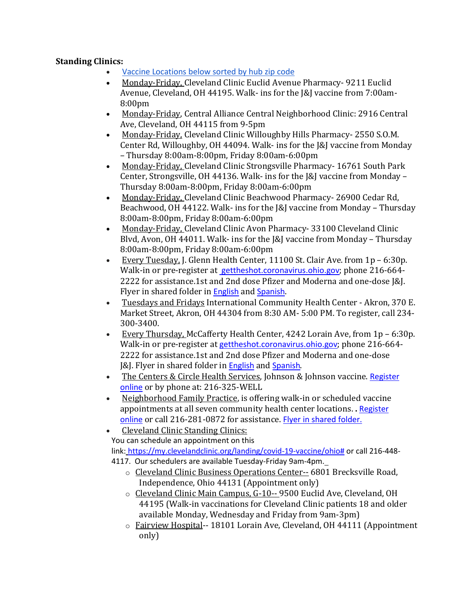## **Standing Clinics:**

- Vaccine [Locations](https://linkprotect.cudasvc.com/url?a=https%3a%2f%2fpublic.tableau.com%2fshared%2fXJ32WGM53%3f%3ashowVizHome%3dno&c=E,1,DkGtpqkbjaIwcYU0KEzLhfVpm87cuaEV8uDfVjdqLuNyRbGx8D8IF9qyggfaOfdVU7wKFlQTEq3pbl-p-MDTCQWo7ogdJQ8AAwRUG6x5hldb&typo=1) below sorted by hub zip code
- Monday-Friday, Cleveland Clinic Euclid Avenue Pharmacy- 9211 Euclid Avenue, Cleveland, OH 44195. Walk- ins for the J&J vaccine from 7:00am-8:00pm
- Monday-Friday, Central Alliance Central Neighborhood Clinic: 2916 Central Ave, Cleveland, OH 44115 from 9-5pm
- Monday-Friday, Cleveland Clinic Willoughby Hills Pharmacy- 2550 S.O.M. Center Rd, Willoughby, OH 44094. Walk- ins for the J&J vaccine from Monday – Thursday 8:00am-8:00pm, Friday 8:00am-6:00pm
- Monday-Friday, Cleveland Clinic Strongsville Pharmacy- 16761 South Park Center, Strongsville, OH 44136. Walk- ins for the J&J vaccine from Monday – Thursday 8:00am-8:00pm, Friday 8:00am-6:00pm
- Monday-Friday, Cleveland Clinic Beachwood Pharmacy- 26900 Cedar Rd, Beachwood, OH 44122. Walk- ins for the J&J vaccine from Monday – Thursday 8:00am-8:00pm, Friday 8:00am-6:00pm
- Monday-Friday, Cleveland Clinic Avon Pharmacy- 33100 Cleveland Clinic Blvd, Avon, OH 44011. Walk- ins for the J&J vaccine from Monday – Thursday 8:00am-8:00pm, Friday 8:00am-6:00pm
- Every Tuesday, J. Glenn Health Center, 11100 St. Clair Ave. from 1p 6:30p. Walk-in or pre-register at [gettheshot.coronavirus.oh](http://gettheshot.coronavirus.ohio.gov/)[io.gov](https://linkprotect.cudasvc.com/url?a=http%3a%2f%2fio.gov%2f&c=E,1,YWU0Bf6x6WtRg0Lw3FZfZrzfaWVvwqNEQY2TtA8PP9BD2GiBsMXOlo0s_z1sDgNM5rwliqRe4yvSMcyfDRSOtioRx20UKP-Hjts-i1-VoYrpWSvXkBZAPg,,&typo=1); phone 216-664-2222 for assistance.1st and 2nd dose Pfizer and Moderna and one-dose J&J. Flyer in shared folder in [English](https://linkprotect.cudasvc.com/url?a=https%3a%2f%2fdrive.google.com%2ffile%2fd%2f1uXsjiqtACrhmu86bgaje7HyjTW9W-ZZV%2fview%3fusp%3dsharing&c=E,1,OF76ZHvdyohypE4JBkrBl2kLNns8K9cPsajnyHpXzAJpyePVvwbsiDLLsO0JCM-aIetLndshW6BCH7XBRDDQr6a8FlXSe5UCT_dH312X3MhveIhMciVBBTdej0Pv&typo=1) and [Spanish](https://linkprotect.cudasvc.com/url?a=https%3a%2f%2fdrive.google.com%2ffile%2fd%2f1tyM1ryyQTj6ufiBG8N3c-IY7n4s4tCE2%2fview%3fusp%3dsharing&c=E,1,G0mMRXgeDabL8yLMa1HeCwLqotXdu8_H6KoK6E24jiqiaM_xOAVcsuRiI_YuKuMEkxOyc3hn_YuSXaMu8rWBhOPmoJhjGcV6j_eKT7sshEZsishL-Vnv&typo=1).
- Tuesdays and Fridays International Community Health Center Akron, 370 E. Market Street, Akron, OH 44304 from 8:30 AM- 5:00 PM. To register, call 234- 300-3400.
- Every Thursday, McCafferty Health Center, 4242 Lorain Ave, from 1p 6:30p. Walk-in or pre-register at [gettheshot.coronavirus.oh](http://gettheshot.coronavirus.ohio.gov/)[io.gov](https://linkprotect.cudasvc.com/url?a=http%3a%2f%2fio.gov%2f&c=E,1,pT8-5axijUix8yBnhc3uD-tcWNPVz48m8lwUvug0X134a_bwMYDZN9yc3dDo0O-tHVvvgZLMm8sir0rHEUmnFUcGXZzGil2rFKapSs10BfclmqdMpL9qfmthAS7b&typo=1); phone 216-664- 2222 for assistance.1st and 2nd dose Pfizer and Moderna and one-dose J&J. Flyer in shared folder in [English](https://linkprotect.cudasvc.com/url?a=https%3a%2f%2fdrive.google.com%2ffile%2fd%2f1uXsjiqtACrhmu86bgaje7HyjTW9W-ZZV%2fview%3fusp%3dsharing&c=E,1,t_8V2cjRgVQgymXdX-328JpQ5AWgtTB4RTEgMWB5tp-RkpF3al9qyXanI9uVSDxHHDPZNuGf90fIrxghnhSRCRfZqQTXSm4X2bI7OA6dmzVmSNQki0ajDQw,&typo=1) and [Spanish](https://linkprotect.cudasvc.com/url?a=https%3a%2f%2fdrive.google.com%2ffile%2fd%2f1tyM1ryyQTj6ufiBG8N3c-IY7n4s4tCE2%2fview%3fusp%3dsharing&c=E,1,heVVDIEZAXvm9fmhoUWit51gtGXq0G7r9CEsDZIZMvszRBAPN-Mcmvk6FXSu1p_EMz-1-J_XYpDkh-9UmioPQN8VPtVtVWRznepWv9fb4iwLN6fV4Xz-&typo=1).
- The Centers & Circle Health Services, Johnson & Johnson vaccine. [Register](https://linkprotect.cudasvc.com/url?a=https%3a%2f%2fthecentersohio.org%2fcovid-19-vaccination%2f&c=E,1,cNzPN7NuNUBpCwCeDGyiQZ4_zUyy9DIuCiCRZl6cLPUihUnj_Ms0INGGQ-EvAFqyv5V2bZma00eR60GTyG0cYOTD73v9IhGZpgKDVHTvZbUZjll-Mhng&typo=1) [online](https://linkprotect.cudasvc.com/url?a=https%3a%2f%2fthecentersohio.org%2fcovid-19-vaccination%2f&c=E,1,cNzPN7NuNUBpCwCeDGyiQZ4_zUyy9DIuCiCRZl6cLPUihUnj_Ms0INGGQ-EvAFqyv5V2bZma00eR60GTyG0cYOTD73v9IhGZpgKDVHTvZbUZjll-Mhng&typo=1) or by phone at: 216-325-WELL
- Neighborhood Family Practice, is offering walk-in or scheduled vaccine appointments at all seven community health center locations. **.** [Register](https://linkprotect.cudasvc.com/url?a=https%3a%2f%2fmychartos.ochin.org%2fmychart%2fSignupAndSchedule%2fEmbeddedSchedule%3fid%3d48000987%2c48000984%2c48000985%2c48000986%2c48000992%2c48000990%26dept%3d48001001%2c48002001%2c48009001%2c48003001%2c48010001%2c48005001%26vt%3d1089%26view%3dplain%26payor%3d-1%2c1%2c1%2c2%2c3302%2c5682%2c3559%2c4856%2c4855%2c1001%2c3458%2c1914%2c3300%2c13300%2c3100%2c-2%2c-3%2c%26public%3d1&c=E,1,UJWm0jluGMkGBTqMpv_cZ9gDkB_6K5qp5UREVglWhUzOgBOkplW-2F1tVjKSKKMPHD5mToqWonHrzFAru22tpm74oRdRoQu6MrxrTJLpvFxNFCbZplSzI0A,&typo=1) [online](https://linkprotect.cudasvc.com/url?a=https%3a%2f%2fmychartos.ochin.org%2fmychart%2fSignupAndSchedule%2fEmbeddedSchedule%3fid%3d48000987%2c48000984%2c48000985%2c48000986%2c48000992%2c48000990%26dept%3d48001001%2c48002001%2c48009001%2c48003001%2c48010001%2c48005001%26vt%3d1089%26view%3dplain%26payor%3d-1%2c1%2c1%2c2%2c3302%2c5682%2c3559%2c4856%2c4855%2c1001%2c3458%2c1914%2c3300%2c13300%2c3100%2c-2%2c-3%2c%26public%3d1&c=E,1,UJWm0jluGMkGBTqMpv_cZ9gDkB_6K5qp5UREVglWhUzOgBOkplW-2F1tVjKSKKMPHD5mToqWonHrzFAru22tpm74oRdRoQu6MrxrTJLpvFxNFCbZplSzI0A,&typo=1) or call 216-281-0872 for assistance. Flyer in [shared](https://linkprotect.cudasvc.com/url?a=https%3a%2f%2fdrive.google.com%2ffile%2fd%2f1wtxYYGZ53rOblnmfpYXCd-ErzbLEiC6I%2fview%3fusp%3dsharing&c=E,1,IhPI_NxTo2J8uPmMLQXmPmPmA5JyUJM9Qt05WYvomWW7E1IxXS5l6gpor5u-Y0yyeMo6kfnpBfjQd5x5MatcRwop1KWnoOke_NMnAjZIfV37gg,,&typo=1) folder.
- Cleveland Clinic Standing Clinics:
- You can schedule an appointment on this

link: [https://my.clevelandclinic.org/landing/covid-19-vaccine/ohio#](https://linkprotect.cudasvc.com/url?a=https%3a%2f%2fmy.clevelandclinic.org%2flanding%2fcovid-19-vaccine%2fohio&c=E,1,AcfQCpEtUO2HsEOEGrGoRfhANv7-Yl13U1Pmz4ajmGixpuWuKJxkrJqXachx7u2wL9foU84h4fl1jzUwaIdgGXSQy1rtPP-js5qviFCPeVI3VlnNwnbP&typo=1) or call 216-448- 4117. Our schedulers are available Tuesday-Friday 9am-4pm.

- o Cleveland Clinic Business Operations Center-- 6801 Brecksville Road, Independence, Ohio 44131 (Appointment only)
- o Cleveland Clinic Main Campus, G-10-- 9500 Euclid Ave, Cleveland, OH 44195 (Walk-in vaccinations for Cleveland Clinic patients 18 and older available Monday, Wednesday and Friday from 9am-3pm)
- o Fairview Hospital-- 18101 Lorain Ave, Cleveland, OH 44111 (Appointment only)